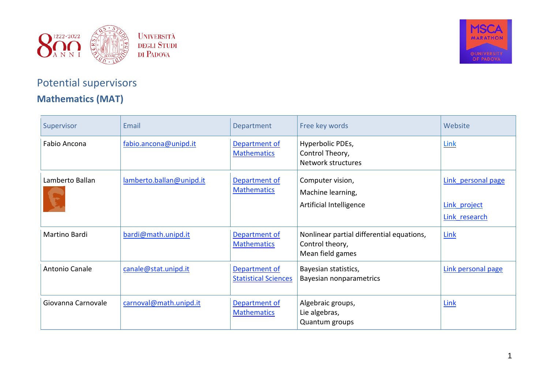



## Potential supervisors **Mathematics (MAT)**

| Supervisor         | Email                    | Department                                   | Free key words                                                                   | Website                                             |
|--------------------|--------------------------|----------------------------------------------|----------------------------------------------------------------------------------|-----------------------------------------------------|
| Fabio Ancona       | fabio.ancona@unipd.it    | Department of<br><b>Mathematics</b>          | Hyperbolic PDEs,<br>Control Theory,<br>Network structures                        | <b>Link</b>                                         |
| Lamberto Ballan    | lamberto.ballan@unipd.it | Department of<br><b>Mathematics</b>          | Computer vision,<br>Machine learning,<br>Artificial Intelligence                 | Link personal page<br>Link project<br>Link research |
| Martino Bardi      | bardi@math.unipd.it      | Department of<br><b>Mathematics</b>          | Nonlinear partial differential equations,<br>Control theory,<br>Mean field games | Link                                                |
| Antonio Canale     | canale@stat.unipd.it     | Department of<br><b>Statistical Sciences</b> | Bayesian statistics,<br>Bayesian nonparametrics                                  | Link personal page                                  |
| Giovanna Carnovale | carnoval@math.unipd.it   | Department of<br><b>Mathematics</b>          | Algebraic groups,<br>Lie algebras,<br>Quantum groups                             | Link                                                |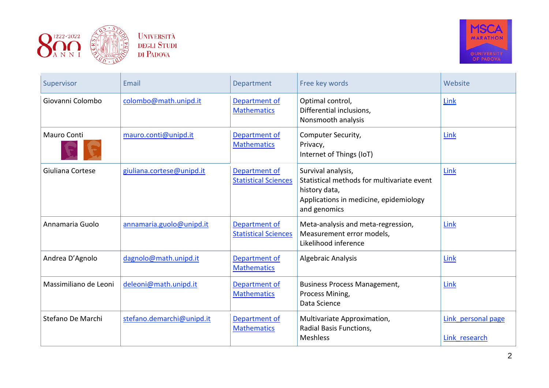



| Supervisor            | Email                     | Department                                   | Free key words                                                                                                                              | Website                             |
|-----------------------|---------------------------|----------------------------------------------|---------------------------------------------------------------------------------------------------------------------------------------------|-------------------------------------|
| Giovanni Colombo      | colombo@math.unipd.it     | Department of<br><b>Mathematics</b>          | Optimal control,<br>Differential inclusions,<br>Nonsmooth analysis                                                                          | Link                                |
| <b>Mauro Conti</b>    | mauro.conti@unipd.it      | Department of<br><b>Mathematics</b>          | Computer Security,<br>Privacy,<br>Internet of Things (IoT)                                                                                  | Link                                |
| Giuliana Cortese      | giuliana.cortese@unipd.it | Department of<br><b>Statistical Sciences</b> | Survival analysis,<br>Statistical methods for multivariate event<br>history data,<br>Applications in medicine, epidemiology<br>and genomics | Link                                |
| Annamaria Guolo       | annamaria.guolo@unipd.it  | Department of<br><b>Statistical Sciences</b> | Meta-analysis and meta-regression,<br>Measurement error models,<br>Likelihood inference                                                     | Link                                |
| Andrea D'Agnolo       | dagnolo@math.unipd.it     | Department of<br><b>Mathematics</b>          | Algebraic Analysis                                                                                                                          | Link                                |
| Massimiliano de Leoni | deleoni@math.unipd.it     | Department of<br><b>Mathematics</b>          | <b>Business Process Management,</b><br>Process Mining,<br>Data Science                                                                      | Link                                |
| Stefano De Marchi     | stefano.demarchi@unipd.it | Department of<br><b>Mathematics</b>          | Multivariate Approximation,<br>Radial Basis Functions,<br><b>Meshless</b>                                                                   | Link personal page<br>Link research |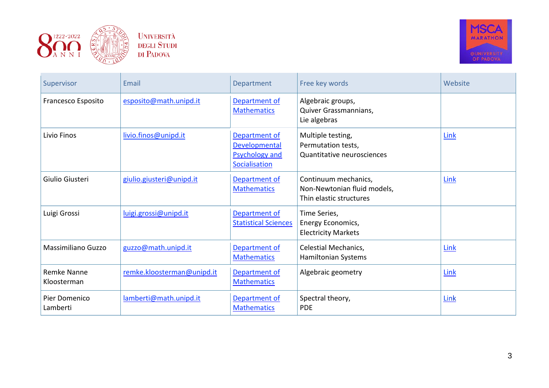



| Supervisor                        | Email                      | Department                                                               | Free key words                                                                 | Website     |
|-----------------------------------|----------------------------|--------------------------------------------------------------------------|--------------------------------------------------------------------------------|-------------|
| Francesco Esposito                | esposito@math.unipd.it     | Department of<br><b>Mathematics</b>                                      | Algebraic groups,<br>Quiver Grassmannians,<br>Lie algebras                     |             |
| Livio Finos                       | livio.finos@unipd.it       | Department of<br>Developmental<br><b>Psychology and</b><br>Socialisation | Multiple testing,<br>Permutation tests,<br>Quantitative neurosciences          | Link        |
| Giulio Giusteri                   | giulio.giusteri@unipd.it   | Department of<br><b>Mathematics</b>                                      | Continuum mechanics,<br>Non-Newtonian fluid models,<br>Thin elastic structures | Link        |
| Luigi Grossi                      | luigi.grossi@unipd.it      | Department of<br><b>Statistical Sciences</b>                             | Time Series,<br>Energy Economics,<br><b>Electricity Markets</b>                |             |
| <b>Massimiliano Guzzo</b>         | guzzo@math.unipd.it        | Department of<br><b>Mathematics</b>                                      | Celestial Mechanics,<br>Hamiltonian Systems                                    | Link        |
| <b>Remke Nanne</b><br>Kloosterman | remke.kloosterman@unipd.it | Department of<br><b>Mathematics</b>                                      | Algebraic geometry                                                             | <b>Link</b> |
| Pier Domenico<br>Lamberti         | lamberti@math.unipd.it     | Department of<br><b>Mathematics</b>                                      | Spectral theory,<br><b>PDE</b>                                                 | Link        |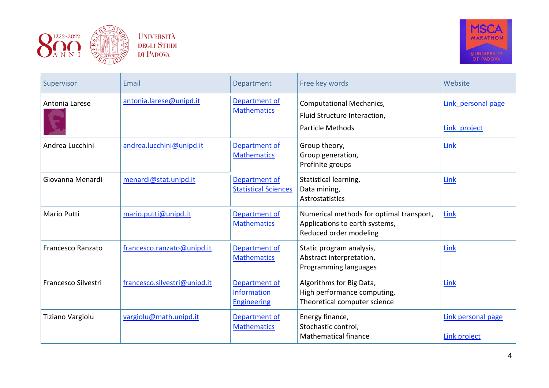



| Supervisor               | Email                        | Department                                         | Free key words                                                                                       | Website                            |
|--------------------------|------------------------------|----------------------------------------------------|------------------------------------------------------------------------------------------------------|------------------------------------|
| Antonia Larese           | antonia.larese@unipd.it      | Department of<br><b>Mathematics</b>                | <b>Computational Mechanics,</b><br>Fluid Structure Interaction,<br><b>Particle Methods</b>           | Link personal page<br>Link project |
| Andrea Lucchini          | andrea.lucchini@unipd.it     | Department of<br><b>Mathematics</b>                | Group theory,<br>Group generation,<br>Profinite groups                                               | Link                               |
| Giovanna Menardi         | menardi@stat.unipd.it        | Department of<br><b>Statistical Sciences</b>       | Statistical learning,<br>Data mining,<br><b>Astrostatistics</b>                                      | Link                               |
| <b>Mario Putti</b>       | mario.putti@unipd.it         | Department of<br><b>Mathematics</b>                | Numerical methods for optimal transport,<br>Applications to earth systems,<br>Reduced order modeling | Link                               |
| <b>Francesco Ranzato</b> | francesco.ranzato@unipd.it   | Department of<br><b>Mathematics</b>                | Static program analysis,<br>Abstract interpretation,<br>Programming languages                        | <b>Link</b>                        |
| Francesco Silvestri      | francesco.silvestri@unipd.it | Department of<br>Information<br><b>Engineering</b> | Algorithms for Big Data,<br>High performance computing,<br>Theoretical computer science              | Link                               |
| Tiziano Vargiolu         | vargiolu@math.unipd.it       | Department of<br><b>Mathematics</b>                | Energy finance,<br>Stochastic control,<br><b>Mathematical finance</b>                                | Link personal page<br>Link project |